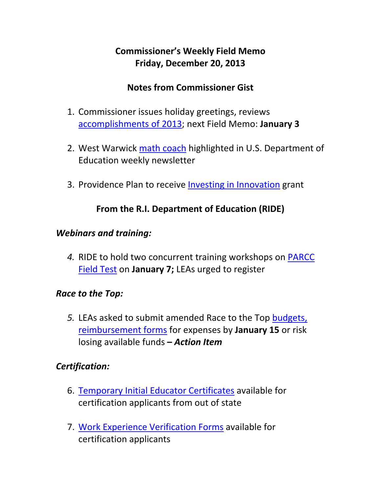# **Commissioner's Weekly Field Memo Friday, December 20, 2013**

### **Notes from Commissioner Gist**

- 1. Commissioner issues holiday greetings, reviews accomplishments of 2013; next Field Memo: **January 3**
- 2. West Warwick math coach highlighted in U.S. Department of Education weekly newsletter
- 3. Providence Plan to receive **Investing in Innovation** grant

### **From the R.I. Department of Education (RIDE)**

#### *Webinars and training:*

*4.* RIDE to hold two concurrent training workshops on PARCC Field Test on **January 7;** LEAs urged to register

### *Race to the Top:*

*5.* LEAs asked to submit amended Race to the Top budgets, reimbursement forms for expenses by **January 15** or risk losing available funds **–** *Action Item* 

### *Certification:*

- 6. Temporary Initial Educator Certificates available for certification applicants from out of state
- 7. Work Experience Verification Forms available for certification applicants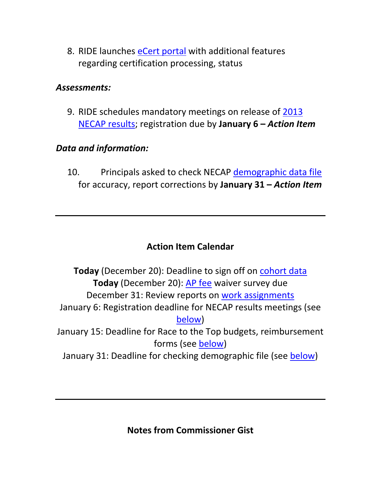8. RIDE launches eCert portal with additional features regarding certification processing, status

#### *Assessments:*

9. RIDE schedules mandatory meetings on release of 2013 NECAP results; registration due by **January 6 –** *Action Item*

### *Data and information:*

10. Principals asked to check NECAP demographic data file for accuracy, report corrections by **January 31 –** *Action Item*

# **Action Item Calendar**

**Today** (December 20): Deadline to sign off on cohort data **Today** (December 20): AP fee waiver survey due December 31: Review reports on work assignments January 6: Registration deadline for NECAP results meetings (see below) January 15: Deadline for Race to the Top budgets, reimbursement forms (see below) January 31: Deadline for checking demographic file (see below)

**Notes from Commissioner Gist**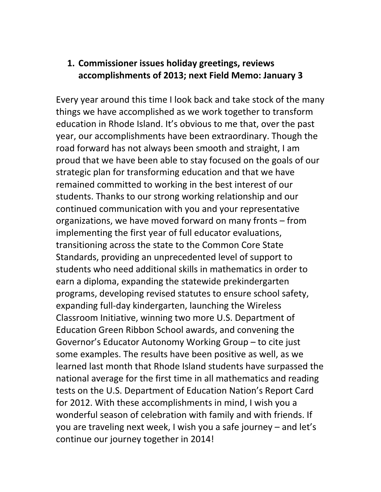### **1. Commissioner issues holiday greetings, reviews accomplishments of 2013; next Field Memo: January 3**

Every year around this time I look back and take stock of the many things we have accomplished as we work together to transform education in Rhode Island. It's obvious to me that, over the past year, our accomplishments have been extraordinary. Though the road forward has not always been smooth and straight, I am proud that we have been able to stay focused on the goals of our strategic plan for transforming education and that we have remained committed to working in the best interest of our students. Thanks to our strong working relationship and our continued communication with you and your representative organizations, we have moved forward on many fronts – from implementing the first year of full educator evaluations, transitioning across the state to the Common Core State Standards, providing an unprecedented level of support to students who need additional skills in mathematics in order to earn a diploma, expanding the statewide prekindergarten programs, developing revised statutes to ensure school safety, expanding full‐day kindergarten, launching the Wireless Classroom Initiative, winning two more U.S. Department of Education Green Ribbon School awards, and convening the Governor's Educator Autonomy Working Group – to cite just some examples. The results have been positive as well, as we learned last month that Rhode Island students have surpassed the national average for the first time in all mathematics and reading tests on the U.S. Department of Education Nation's Report Card for 2012. With these accomplishments in mind, I wish you a wonderful season of celebration with family and with friends. If you are traveling next week, I wish you a safe journey – and let's continue our journey together in 2014!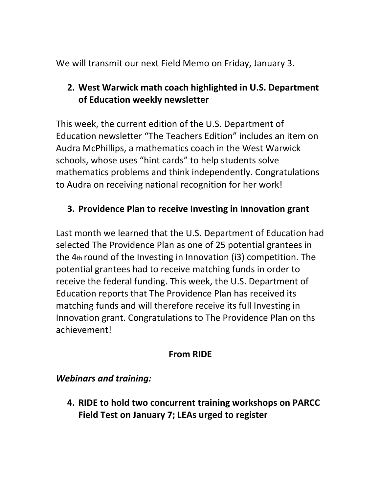We will transmit our next Field Memo on Friday, January 3.

## **2. West Warwick math coach highlighted in U.S. Department of Education weekly newsletter**

This week, the current edition of the U.S. Department of Education newsletter "The Teachers Edition" includes an item on Audra McPhillips, a mathematics coach in the West Warwick schools, whose uses "hint cards" to help students solve mathematics problems and think independently. Congratulations to Audra on receiving national recognition for her work!

## **3. Providence Plan to receive Investing in Innovation grant**

Last month we learned that the U.S. Department of Education had selected The Providence Plan as one of 25 potential grantees in the 4th round of the Investing in Innovation (i3) competition. The potential grantees had to receive matching funds in order to receive the federal funding. This week, the U.S. Department of Education reports that The Providence Plan has received its matching funds and will therefore receive its full Investing in Innovation grant. Congratulations to The Providence Plan on ths achievement!

### **From RIDE**

### *Webinars and training:*

**4. RIDE to hold two concurrent training workshops on PARCC Field Test on January 7; LEAs urged to register**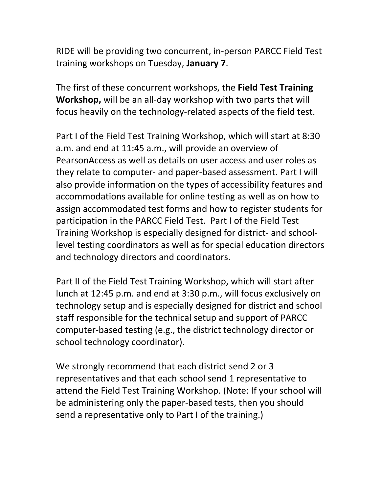RIDE will be providing two concurrent, in‐person PARCC Field Test training workshops on Tuesday, **January 7**.

The first of these concurrent workshops, the **Field Test Training Workshop,** will be an all‐day workshop with two parts that will focus heavily on the technology‐related aspects of the field test.

Part I of the Field Test Training Workshop, which will start at 8:30 a.m. and end at 11:45 a.m., will provide an overview of PearsonAccess as well as details on user access and user roles as they relate to computer‐ and paper‐based assessment. Part I will also provide information on the types of accessibility features and accommodations available for online testing as well as on how to assign accommodated test forms and how to register students for participation in the PARCC Field Test. Part I of the Field Test Training Workshop is especially designed for district‐ and school‐ level testing coordinators as well as for special education directors and technology directors and coordinators.

Part II of the Field Test Training Workshop, which will start after lunch at 12:45 p.m. and end at 3:30 p.m., will focus exclusively on technology setup and is especially designed for district and school staff responsible for the technical setup and support of PARCC computer‐based testing (e.g., the district technology director or school technology coordinator).

We strongly recommend that each district send 2 or 3 representatives and that each school send 1 representative to attend the Field Test Training Workshop. (Note: If your school will be administering only the paper‐based tests, then you should send a representative only to Part I of the training.)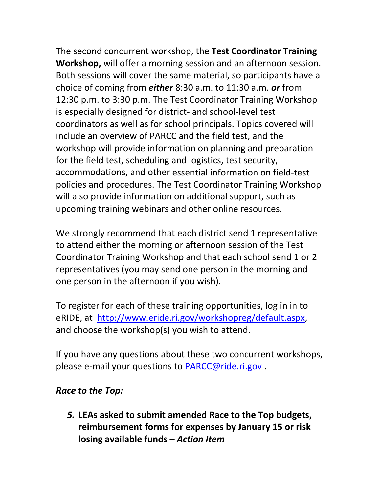The second concurrent workshop, the **Test Coordinator Training Workshop,** will offer a morning session and an afternoon session. Both sessions will cover the same material, so participants have a choice of coming from *either* 8:30 a.m. to 11:30 a.m. *or* from 12:30 p.m. to 3:30 p.m. The Test Coordinator Training Workshop is especially designed for district‐ and school‐level test coordinators as well as for school principals. Topics covered will include an overview of PARCC and the field test, and the workshop will provide information on planning and preparation for the field test, scheduling and logistics, test security, accommodations, and other essential information on field‐test policies and procedures. The Test Coordinator Training Workshop will also provide information on additional support, such as upcoming training webinars and other online resources.

We strongly recommend that each district send 1 representative to attend either the morning or afternoon session of the Test Coordinator Training Workshop and that each school send 1 or 2 representatives (you may send one person in the morning and one person in the afternoon if you wish).

To register for each of these training opportunities, log in in to eRIDE, at http://www.eride.ri.gov/workshopreg/default.aspx, and choose the workshop(s) you wish to attend.

If you have any questions about these two concurrent workshops, please e-mail your questions to PARCC@ride.ri.gov.

### *Race to the Top:*

*5.* **LEAs asked to submit amended Race to the Top budgets, reimbursement forms for expenses by January 15 or risk losing available funds –** *Action Item*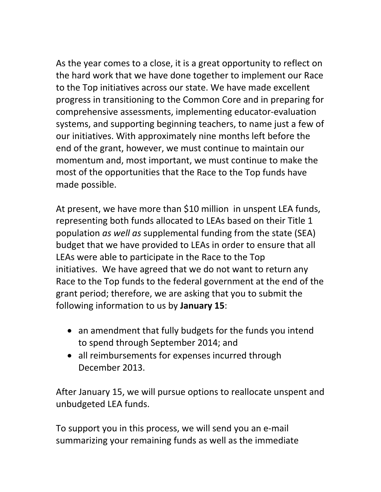As the year comes to a close, it is a great opportunity to reflect on the hard work that we have done together to implement our Race to the Top initiatives across our state. We have made excellent progress in transitioning to the Common Core and in preparing for comprehensive assessments, implementing educator‐evaluation systems, and supporting beginning teachers, to name just a few of our initiatives. With approximately nine months left before the end of the grant, however, we must continue to maintain our momentum and, most important, we must continue to make the most of the opportunities that the Race to the Top funds have made possible.

At present, we have more than \$10 million in unspent LEA funds, representing both funds allocated to LEAs based on their Title 1 population *as well as* supplemental funding from the state (SEA) budget that we have provided to LEAs in order to ensure that all LEAs were able to participate in the Race to the Top initiatives. We have agreed that we do not want to return any Race to the Top funds to the federal government at the end of the grant period; therefore, we are asking that you to submit the following information to us by **January 15**:

- an amendment that fully budgets for the funds you intend to spend through September 2014; and
- all reimbursements for expenses incurred through December 2013.

After January 15, we will pursue options to reallocate unspent and unbudgeted LEA funds.

To support you in this process, we will send you an e‐mail summarizing your remaining funds as well as the immediate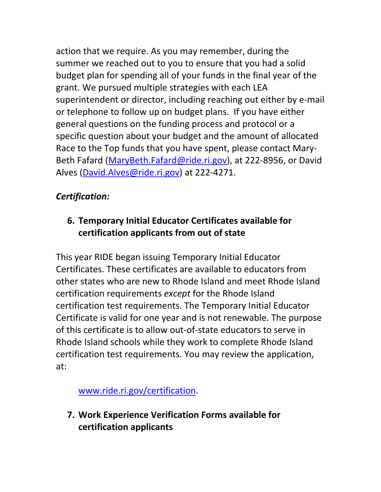action that we require. As you may remember, during the summer we reached out to you to ensure that you had a solid budget plan for spending all of your funds in the final year of the grant. We pursued multiple strategies with each LEA superintendent or director, including reaching out either by e‐mail or telephone to follow up on budget plans. If you have either general questions on the funding process and protocol or a specific question about your budget and the amount of allocated Race to the Top funds that you have spent, please contact Mary‐ Beth Fafard (MaryBeth.Fafard@ride.ri.gov), at 222‐8956, or David Alves (David.Alves@ride.ri.gov) at 222-4271.

# *Certification:*

# **6. Temporary Initial Educator Certificates available for certification applicants from out of state**

This year RIDE began issuing Temporary Initial Educator Certificates. These certificates are available to educators from other states who are new to Rhode Island and meet Rhode Island certification requirements *except* for the Rhode Island certification test requirements. The Temporary Initial Educator Certificate is valid for one year and is not renewable. The purpose of this certificate is to allow out‐of‐state educators to serve in Rhode Island schools while they work to complete Rhode Island certification test requirements. You may review the application, at:

www.ride.ri.gov/certification.

**7. Work Experience Verification Forms available for certification applicants**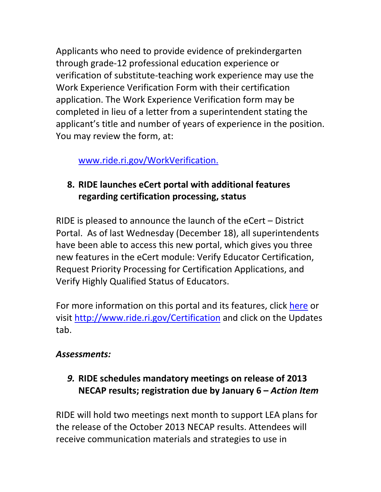Applicants who need to provide evidence of prekindergarten through grade‐12 professional education experience or verification of substitute‐teaching work experience may use the Work Experience Verification Form with their certification application. The Work Experience Verification form may be completed in lieu of a letter from a superintendent stating the applicant's title and number of years of experience in the position. You may review the form, at:

## www.ride.ri.gov/WorkVerification.

# **8. RIDE launches eCert portal with additional features regarding certification processing, status**

RIDE is pleased to announce the launch of the eCert – District Portal. As of last Wednesday (December 18), all superintendents have been able to access this new portal, which gives you three new features in the eCert module: Verify Educator Certification, Request Priority Processing for Certification Applications, and Verify Highly Qualified Status of Educators.

For more information on this portal and its features, click here or visit http://www.ride.ri.gov/Certification and click on the Updates tab.

### *Assessments:*

*9.* **RIDE schedules mandatory meetings on release of 2013 NECAP results; registration due by January 6 –** *Action Item* 

RIDE will hold two meetings next month to support LEA plans for the release of the October 2013 NECAP results. Attendees will receive communication materials and strategies to use in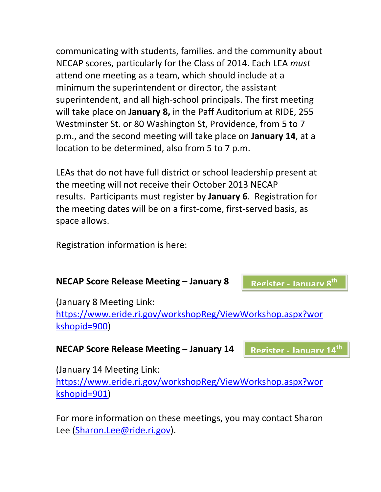communicating with students, families. and the community about NECAP scores, particularly for the Class of 2014. Each LEA *must* attend one meeting as a team, which should include at a minimum the superintendent or director, the assistant superintendent, and all high‐school principals. The first meeting will take place on **January 8,** in the Paff Auditorium at RIDE, 255 Westminster St. or 80 Washington St, Providence, from 5 to 7 p.m., and the second meeting will take place on **January 14**, at a location to be determined, also from 5 to 7 p.m.

LEAs that do not have full district or school leadership present at the meeting will not receive their October 2013 NECAP results. Participants must register by **January 6**. Registration for the meeting dates will be on a first‐come, first‐served basis, as space allows.

Registration information is here:

#### **NECAP Score Release Meeting – January 8**

**Register ‐ January 8th**

(January 8 Meeting Link:

https://www.eride.ri.gov/workshopReg/ViewWorkshop.aspx?wor kshopid=900)

#### **NECAP Score Release Meeting – January 14**

**Register ‐ January 14th**

(January 14 Meeting Link:

https://www.eride.ri.gov/workshopReg/ViewWorkshop.aspx?wor kshopid=901)

For more information on these meetings, you may contact Sharon Lee (Sharon.Lee@ride.ri.gov).